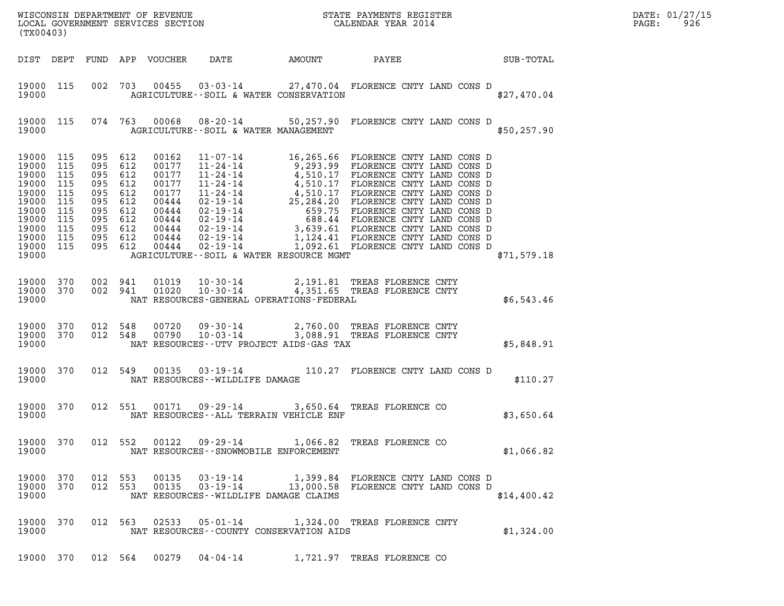| (TX00403)                                                                                                                                |                   |                                                                                                                       |         |                                                                                                 |                                | $\mathcal{R}$<br>WISCONSIN DEPARTMENT OF REVENUE<br>LOCAL GOVERNMENT SERVICES SECTION<br>CALENDAR YEAR 2014                                                                                                                                                                                                                            |                                    |  |             | DATE: 01/27/15<br>$\mathtt{PAGE}$ :<br>926 |
|------------------------------------------------------------------------------------------------------------------------------------------|-------------------|-----------------------------------------------------------------------------------------------------------------------|---------|-------------------------------------------------------------------------------------------------|--------------------------------|----------------------------------------------------------------------------------------------------------------------------------------------------------------------------------------------------------------------------------------------------------------------------------------------------------------------------------------|------------------------------------|--|-------------|--------------------------------------------|
|                                                                                                                                          |                   |                                                                                                                       |         |                                                                                                 |                                | DIST DEPT FUND APP VOUCHER DATE AMOUNT PAYEE SUB-TOTAL                                                                                                                                                                                                                                                                                 |                                    |  |             |                                            |
| 19000 115<br>19000                                                                                                                       |                   |                                                                                                                       |         |                                                                                                 |                                | 002 703 00455 03-03-14 27,470.04 FLORENCE CNTY LAND CONS D<br>AGRICULTURE -- SOIL & WATER CONSERVATION                                                                                                                                                                                                                                 |                                    |  | \$27,470.04 |                                            |
| 19000                                                                                                                                    | 19000 115         |                                                                                                                       |         |                                                                                                 |                                | 074 763 00068 08-20-14 50,257.90 FLORENCE CNTY LAND CONS D<br>AGRICULTURE--SOIL & WATER MANAGEMENT                                                                                                                                                                                                                                     |                                    |  | \$50,257.90 |                                            |
| 19000 115<br>19000<br>19000<br>19000<br>19000 115<br>19000 115<br>19000 115<br>19000 115<br>19000 115<br>19000 115<br>19000 115<br>19000 | 115<br>115<br>115 | 095 612<br>095 612<br>095 612<br>095 612<br>095 612<br>095 612<br>095 612<br>095 612<br>095 612<br>095 612<br>095 612 |         | 00162<br>00177<br>00177<br>00177<br>00177<br>00444<br>00444<br>00444<br>00444<br>00444<br>00444 |                                | 11-07-14 16,265.66 FLORENCE CNTY LAND CONS D<br>11-07-14<br>9,293.99 FLORENCE CNTY LAND CONS D<br>11-24-14<br>4,510.17 FLORENCE CNTY LAND CONS D<br>11-24-14<br>4,510.17 FLORENCE CNTY LAND CONS D<br>11-24-14<br>4,510.17 FLORENCE CNTY LAND CONS D<br>12-19-14<br>25,284.20 FLORENCE CNTY<br>AGRICULTURE--SOIL & WATER RESOURCE MGMT |                                    |  | \$71,579.18 |                                            |
| 19000 370<br>19000                                                                                                                       |                   |                                                                                                                       | 002 941 | 19000 370 002 941 01019<br>01020                                                                |                                | 10-30-14 2,191.81 TREAS FLORENCE CNTY<br>10-30-14 4,351.65 TREAS FLORENCE CNTY<br>NAT RESOURCES-GENERAL OPERATIONS-FEDERAL                                                                                                                                                                                                             |                                    |  | \$6,543.46  |                                            |
| 19000 370<br>19000 370<br>19000                                                                                                          |                   | 012 548                                                                                                               |         | 012 548 00790                                                                                   |                                | 00720  09-30-14  2,760.00 TREAS FLORENCE CNTY<br>00790  10-03-14  3,088.91 TREAS FLORENCE CNTY<br>NAT RESOURCES--UTV PROJECT AIDS-GAS TAX                                                                                                                                                                                              |                                    |  | \$5,848.91  |                                            |
| 19000 370<br>19000                                                                                                                       |                   |                                                                                                                       |         |                                                                                                 | NAT RESOURCES--WILDLIFE DAMAGE | 012 549 00135 03-19-14 110.27 FLORENCE CNTY LAND CONS D                                                                                                                                                                                                                                                                                |                                    |  | \$110.27    |                                            |
| 19000 370<br>19000                                                                                                                       |                   |                                                                                                                       |         |                                                                                                 |                                | 012 551 00171 09-29-14 3,650.64 TREAS FLORENCE CO<br>NAT RESOURCES--ALL TERRAIN VEHICLE ENF                                                                                                                                                                                                                                            |                                    |  | \$3,650.64  |                                            |
| 19000 370<br>19000                                                                                                                       |                   |                                                                                                                       |         | 012 552 00122                                                                                   |                                | 09-29-14 1,066.82 TREAS FLORENCE CO<br>NAT RESOURCES - - SNOWMOBILE ENFORCEMENT                                                                                                                                                                                                                                                        |                                    |  | \$1,066.82  |                                            |
| 19000 370<br>19000 370<br>19000                                                                                                          |                   | 012 553                                                                                                               | 012 553 | 00135<br>00135                                                                                  | 03-19-14<br>$03 - 19 - 14$     | 13,000.58 FLORENCE CNTY LAND CONS D<br>NAT RESOURCES--WILDLIFE DAMAGE CLAIMS                                                                                                                                                                                                                                                           | 1,399.84 FLORENCE CNTY LAND CONS D |  | \$14,400.42 |                                            |
| 19000 370<br>19000                                                                                                                       |                   |                                                                                                                       | 012 563 | 02533                                                                                           |                                | 05-01-14 1,324.00 TREAS FLORENCE CNTY<br>NAT RESOURCES--COUNTY CONSERVATION AIDS                                                                                                                                                                                                                                                       |                                    |  | \$1,324.00  |                                            |
|                                                                                                                                          |                   |                                                                                                                       |         |                                                                                                 |                                | 19000 370 012 564 00279 04-04-14 1,721.97 TREAS FLORENCE CO                                                                                                                                                                                                                                                                            |                                    |  |             |                                            |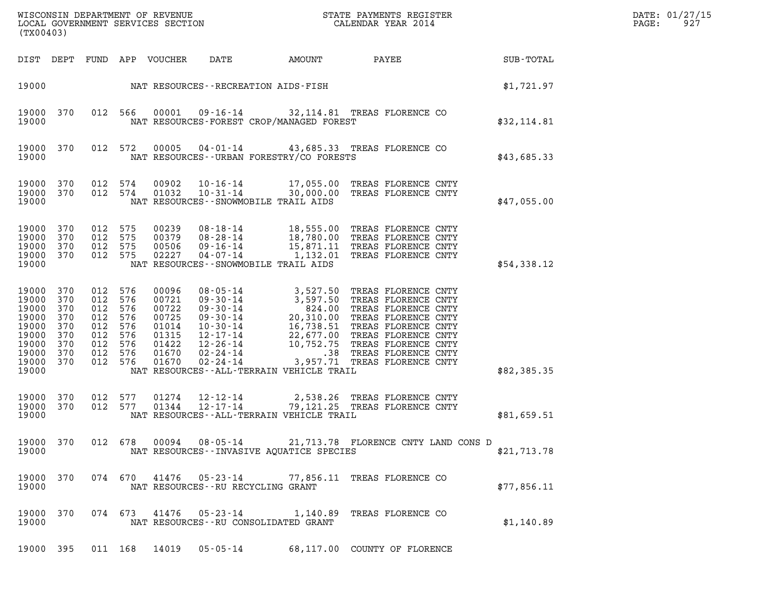| (TX00403)                                                                                  |                                                      |                                                                                     |                   |                                                                               |                                                                                               |  |                                               |                                                                                                                                                                                                                                                                                         |             | DATE: 01/27/15<br>PAGE:<br>927 |
|--------------------------------------------------------------------------------------------|------------------------------------------------------|-------------------------------------------------------------------------------------|-------------------|-------------------------------------------------------------------------------|-----------------------------------------------------------------------------------------------|--|-----------------------------------------------|-----------------------------------------------------------------------------------------------------------------------------------------------------------------------------------------------------------------------------------------------------------------------------------------|-------------|--------------------------------|
|                                                                                            |                                                      |                                                                                     |                   | DIST DEPT FUND APP VOUCHER                                                    | DATE                                                                                          |  | AMOUNT                                        | PAYEE                                                                                                                                                                                                                                                                                   | SUB-TOTAL   |                                |
| 19000                                                                                      |                                                      |                                                                                     |                   |                                                                               | NAT RESOURCES - - RECREATION AIDS - FISH                                                      |  |                                               |                                                                                                                                                                                                                                                                                         | \$1,721.97  |                                |
| 19000 370<br>19000                                                                         |                                                      | 012 566                                                                             |                   | 00001                                                                         |                                                                                               |  | NAT RESOURCES-FOREST CROP/MANAGED FOREST      | 09-16-14 32,114.81 TREAS FLORENCE CO                                                                                                                                                                                                                                                    | \$32,114.81 |                                |
| 19000 370<br>19000                                                                         |                                                      | 012 572                                                                             |                   | 00005                                                                         |                                                                                               |  | NAT RESOURCES--URBAN FORESTRY/CO FORESTS      | 04-01-14 43,685.33 TREAS FLORENCE CO                                                                                                                                                                                                                                                    | \$43,685.33 |                                |
| 19000 370<br>19000 370<br>19000                                                            |                                                      | 012 574<br>012 574                                                                  |                   | 00902<br>01032                                                                | 10-31-14<br>NAT RESOURCES - - SNOWMOBILE TRAIL AIDS                                           |  |                                               | 10-16-14 17,055.00 TREAS FLORENCE CNTY<br>30,000.00 TREAS FLORENCE CNTY                                                                                                                                                                                                                 | \$47,055.00 |                                |
| 19000 370<br>19000<br>19000<br>19000<br>19000                                              | 370<br>370<br>370                                    | 012 575<br>012 575<br>012 575<br>012 575                                            |                   | 00239<br>00379<br>00506<br>02227                                              | 08-18-14<br>08-28-14<br>09-16-14<br>$04 - 07 - 14$<br>NAT RESOURCES - - SNOWMOBILE TRAIL AIDS |  |                                               | 18,555.00 TREAS FLORENCE CNTY<br>18,780.00 TREAS FLORENCE CNTY<br>15,871.11 TREAS FLORENCE CNTY<br>1,132.01 TREAS FLORENCE CNTY                                                                                                                                                         | \$54,338.12 |                                |
| 19000 370<br>19000<br>19000<br>19000<br>19000<br>19000<br>19000<br>19000<br>19000<br>19000 | 370<br>370<br>370<br>370<br>370<br>370<br>370<br>370 | 012 576<br>012 576<br>012<br>012 576<br>012<br>012 576<br>012<br>012 576<br>012 576 | 576<br>576<br>576 | 00096<br>00721<br>00722<br>00725<br>01014<br>01315<br>01422<br>01670<br>01670 | $02 - 24 - 14$                                                                                |  | NAT RESOURCES - - ALL - TERRAIN VEHICLE TRAIL | 08-05-14<br>09-30-14<br>3,527.50 TREAS FLORENCE CNTY<br>09-30-14<br>3,597.50 TREAS FLORENCE CNTY<br>09-30-14<br>20,310.00 TREAS FLORENCE CNTY<br>10-30-14<br>16,738.51 TREAS FLORENCE CNTY<br>12-17-14<br>22,677.00 TREAS FLORENCE CNTY<br>12-26-14<br><br>3,957.71 TREAS FLORENCE CNTY | \$82,385.35 |                                |
| 19000 370<br>19000<br>19000                                                                | 370                                                  | 012 577<br>012 577                                                                  |                   | 01274<br>01344                                                                | 12-12-14<br>12-17-14                                                                          |  | NAT RESOURCES--ALL-TERRAIN VEHICLE TRAIL      | 2,538.26 TREAS FLORENCE CNTY<br>79,121.25 TREAS FLORENCE CNTY                                                                                                                                                                                                                           | \$81,659.51 |                                |
| 19000 370<br>19000                                                                         |                                                      |                                                                                     |                   |                                                                               |                                                                                               |  | NAT RESOURCES - - INVASIVE AOUATICE SPECIES   | 012 678 00094 08-05-14 21,713.78 FLORENCE CNTY LAND CONS D                                                                                                                                                                                                                              | \$21,713.78 |                                |
| 19000 370<br>19000                                                                         |                                                      |                                                                                     |                   |                                                                               | 074 670 41476 05-23-14<br>NAT RESOURCES - - RU RECYCLING GRANT                                |  |                                               | 77,856.11 TREAS FLORENCE CO                                                                                                                                                                                                                                                             | \$77,856.11 |                                |
| 19000 370<br>19000                                                                         |                                                      |                                                                                     |                   |                                                                               | 074 673 41476 05-23-14<br>NAT RESOURCES--RU CONSOLIDATED GRANT                                |  |                                               | 1,140.89 TREAS FLORENCE CO                                                                                                                                                                                                                                                              | \$1,140.89  |                                |
| 19000 395                                                                                  |                                                      |                                                                                     | 011 168           | 14019                                                                         | 05-05-14                                                                                      |  |                                               | 68,117.00 COUNTY OF FLORENCE                                                                                                                                                                                                                                                            |             |                                |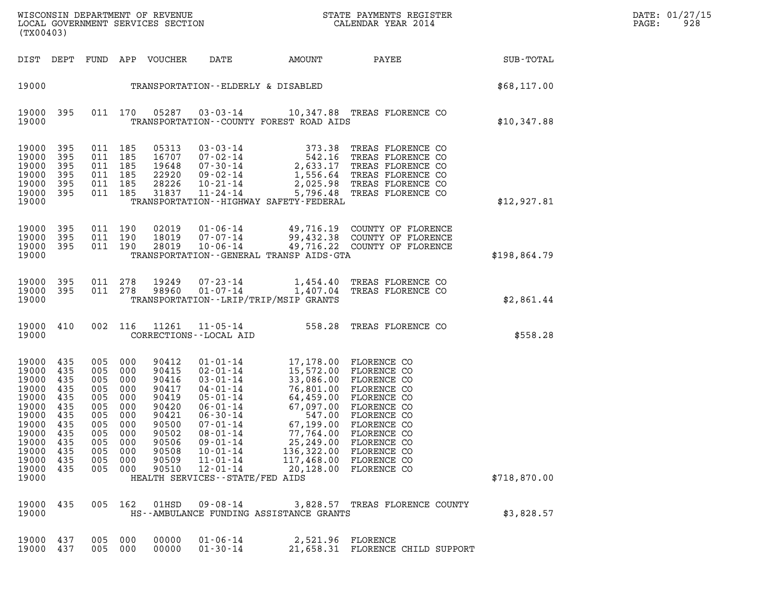| WISCONSIN DEPARTMENT OF REVENUE<br>LOCAL GOVERNMENT SERVICES SECTION<br>(TX00403) | STATE PAYMENTS REGISTER<br>CALENDAR YEAR 2014 | DATE: 01/27/15<br>928<br>PAGE: |
|-----------------------------------------------------------------------------------|-----------------------------------------------|--------------------------------|

| (TX00403)                                                                                                                              |                                                                    |                                                                                                                                     |            |                                                                                                                   |                                                                                                            |                                                                                                                                                                                                                                                                                                                             | WISCONSIN DEPARTMENT OF REVENUE<br>LOCAL GOVERNMENT SERVICES SECTION<br>CALENDAR YEAR 2014                                                                                                                                               |              |  |  |  |
|----------------------------------------------------------------------------------------------------------------------------------------|--------------------------------------------------------------------|-------------------------------------------------------------------------------------------------------------------------------------|------------|-------------------------------------------------------------------------------------------------------------------|------------------------------------------------------------------------------------------------------------|-----------------------------------------------------------------------------------------------------------------------------------------------------------------------------------------------------------------------------------------------------------------------------------------------------------------------------|------------------------------------------------------------------------------------------------------------------------------------------------------------------------------------------------------------------------------------------|--------------|--|--|--|
|                                                                                                                                        |                                                                    |                                                                                                                                     |            | DIST DEPT FUND APP VOUCHER DATE                                                                                   |                                                                                                            |                                                                                                                                                                                                                                                                                                                             | AMOUNT PAYEE SUB-TOTAL                                                                                                                                                                                                                   |              |  |  |  |
|                                                                                                                                        |                                                                    |                                                                                                                                     |            |                                                                                                                   |                                                                                                            | 19000 TRANSPORTATION--ELDERLY & DISABLED                                                                                                                                                                                                                                                                                    |                                                                                                                                                                                                                                          | \$68,117.00  |  |  |  |
| 19000                                                                                                                                  |                                                                    |                                                                                                                                     |            |                                                                                                                   |                                                                                                            | TRANSPORTATION--COUNTY FOREST ROAD AIDS                                                                                                                                                                                                                                                                                     | 19000 395 011 170 05287 03-03-14 10,347.88 TREAS FLORENCE CO                                                                                                                                                                             | \$10,347.88  |  |  |  |
| 19000 395<br>19000<br>19000<br>19000<br>19000<br>19000<br>19000                                                                        | 395<br>395<br>395<br>395<br>395                                    | 011 185<br>011 185<br>011 185<br>011 185<br>011 185<br>011 185                                                                      |            | 05313                                                                                                             |                                                                                                            | TRANSPORTATION - - HIGHWAY SAFETY - FEDERAL                                                                                                                                                                                                                                                                                 | 05313 03-03-14 373.38 TREAS FLORENCE CO<br>16707 07-02-14 542.16 TREAS FLORENCE CO<br>19648 07-30-14 2,633.17 TREAS FLORENCE CO<br>22920 09-02-14 1,556.64 TREAS FLORENCE CO<br>28226 10-21-14 2,025.98 TREAS FLORENCE CO<br>31837 11-24 | \$12,927.81  |  |  |  |
| 19000 395<br>19000 395<br>19000<br>19000                                                                                               | 395                                                                | 011 190<br>011 190<br>011 190                                                                                                       |            |                                                                                                                   |                                                                                                            | TRANSPORTATION - - GENERAL TRANSP AIDS - GTA                                                                                                                                                                                                                                                                                | 02019  01-06-14  49,716.19  COUNTY OF FLORENCE<br>18019  07-07-14  99,432.38  COUNTY OF FLORENCE<br>28019  10-06-14  49,716.22  COUNTY OF FLORENCE                                                                                       | \$198,864.79 |  |  |  |
| 19000                                                                                                                                  | 19000 395                                                          | 19000 395 011 278                                                                                                                   |            |                                                                                                                   |                                                                                                            | TRANSPORTATION - - LRIP/TRIP/MSIP GRANTS                                                                                                                                                                                                                                                                                    | 011  278  19249  07-23-14   1,454.40 TREAS FLORENCE CO<br>011  278  98960  01-07-14   1,407.04 TREAS FLORENCE CO                                                                                                                         | \$2,861.44   |  |  |  |
| 19000                                                                                                                                  |                                                                    |                                                                                                                                     |            |                                                                                                                   | CORRECTIONS - - LOCAL AID                                                                                  |                                                                                                                                                                                                                                                                                                                             | 19000 410 002 116 11261 11-05-14 558.28 TREAS FLORENCE CO                                                                                                                                                                                | \$558.28     |  |  |  |
| 19000 435<br>19000<br>19000<br>19000<br>19000<br>19000<br>19000<br>19000 435<br>19000 435<br>19000<br>19000<br>19000<br>19000<br>19000 | 435<br>435<br>435<br>435<br>435<br>435<br>435<br>435<br>435<br>435 | 005 000<br>005 000<br>005 000<br>005 000<br>005 000<br>005 000<br>005 000<br>005 000<br>005 000<br>005<br>005 000<br>005<br>005 000 | 000<br>000 | 90412<br>90415<br>90416<br>90417<br>90419<br>90420<br>90421<br>90500<br>90502<br>90506<br>90508<br>90509<br>90510 | 08-01-14<br>09-01-14<br>$10 - 01 - 14$<br>11-01-14<br>$12 - 01 - 14$<br>HEALTH SERVICES - - STATE/FED AIDS | 01-01-14 17,178.00 FLORENCE CO<br>01-01-14<br>02-01-14<br>03-01-14<br>03-01-14<br>04-01-14<br>06-01-14<br>06-01-14<br>06-01-14<br>06-30-14<br>07.099.00 FLORENCE CO<br>06-30-14<br>07.099.00 FLORENCE CO<br>06-30-14<br>07.199.00 FLORENCE CO<br>08-01-14<br>07.199.00 FLORENCE CO<br>08-01-14<br><br>77,764.00 FLORENCE CO | 25,249.00 FLORENCE CO<br>136,322.00 FLORENCE CO<br>117,468.00 FLORENCE CO<br>20,128.00 FLORENCE CO                                                                                                                                       | \$718,870.00 |  |  |  |
| 19000 435<br>19000                                                                                                                     |                                                                    | 005 162                                                                                                                             |            | $01$ HSD                                                                                                          | 09-08-14                                                                                                   | HS--AMBULANCE FUNDING ASSISTANCE GRANTS                                                                                                                                                                                                                                                                                     | 3,828.57 TREAS FLORENCE COUNTY                                                                                                                                                                                                           | \$3,828.57   |  |  |  |
| 19000 437<br>19000 437                                                                                                                 |                                                                    | 005 000<br>005 000                                                                                                                  |            | 00000<br>00000                                                                                                    | $01 - 06 - 14$<br>$01 - 30 - 14$                                                                           | 2,521.96 FLORENCE                                                                                                                                                                                                                                                                                                           | 21,658.31 FLORENCE CHILD SUPPORT                                                                                                                                                                                                         |              |  |  |  |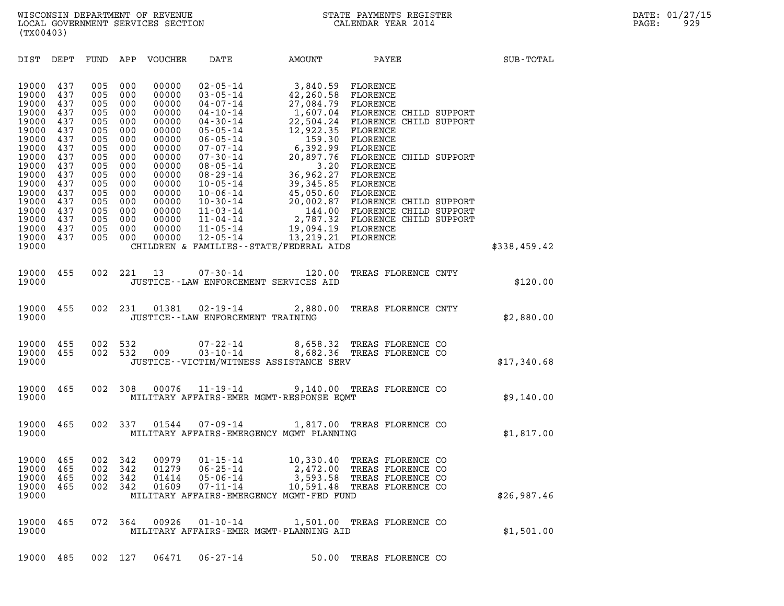WISCONSIN DEPARTMENT OF REVENUE<br>LOCAL GOVERNMENT SERVICES SECTION STATE PAYMENTS REGISTER SECTION DATE: 01/27/15 WISCONSIN DEPARTMENT OF REVENUE<br>LOCAL GOVERNMENT SERVICES SECTION CALENDAR YEAR 2014<br>(TX00403) (TX00403)

| (TX00403)                                                                                                                                                               |                                                                                                                            |                                                                                                                            |                                                                                                                            |                                                                                                                                                                |                                                                                                                                                                                                                                                                                                                                  |                                                                                                                                                                                                                                                          |                                                                                                                                                                                                                                                                                             |              |  |
|-------------------------------------------------------------------------------------------------------------------------------------------------------------------------|----------------------------------------------------------------------------------------------------------------------------|----------------------------------------------------------------------------------------------------------------------------|----------------------------------------------------------------------------------------------------------------------------|----------------------------------------------------------------------------------------------------------------------------------------------------------------|----------------------------------------------------------------------------------------------------------------------------------------------------------------------------------------------------------------------------------------------------------------------------------------------------------------------------------|----------------------------------------------------------------------------------------------------------------------------------------------------------------------------------------------------------------------------------------------------------|---------------------------------------------------------------------------------------------------------------------------------------------------------------------------------------------------------------------------------------------------------------------------------------------|--------------|--|
| DIST                                                                                                                                                                    | DEPT                                                                                                                       | FUND                                                                                                                       | APP                                                                                                                        | VOUCHER                                                                                                                                                        | DATE                                                                                                                                                                                                                                                                                                                             | AMOUNT                                                                                                                                                                                                                                                   | PAYEE                                                                                                                                                                                                                                                                                       | SUB-TOTAL    |  |
| 19000<br>19000<br>19000<br>19000<br>19000<br>19000<br>19000<br>19000<br>19000<br>19000<br>19000<br>19000<br>19000<br>19000<br>19000<br>19000<br>19000<br>19000<br>19000 | 437<br>437<br>437<br>437<br>437<br>437<br>437<br>437<br>437<br>437<br>437<br>437<br>437<br>437<br>437<br>437<br>437<br>437 | 005<br>005<br>005<br>005<br>005<br>005<br>005<br>005<br>005<br>005<br>005<br>005<br>005<br>005<br>005<br>005<br>005<br>005 | 000<br>000<br>000<br>000<br>000<br>000<br>000<br>000<br>000<br>000<br>000<br>000<br>000<br>000<br>000<br>000<br>000<br>000 | 00000<br>00000<br>00000<br>00000<br>00000<br>00000<br>00000<br>00000<br>00000<br>00000<br>00000<br>00000<br>00000<br>00000<br>00000<br>00000<br>00000<br>00000 | $02 - 05 - 14$<br>$03 - 05 - 14$<br>$04 - 07 - 14$<br>$04 - 10 - 14$<br>$04 - 30 - 14$<br>$05 - 05 - 14$<br>$06 - 05 - 14$<br>$07 - 07 - 14$<br>$07 - 30 - 14$<br>$08 - 05 - 14$<br>$08 - 29 - 14$<br>$10 - 05 - 14$<br>$10 - 06 - 14$<br>$10 - 30 - 14$<br>$11 - 03 - 14$<br>$11 - 04 - 14$<br>$11 - 05 - 14$<br>$12 - 05 - 14$ | 3,840.59<br>42,260.58<br>27,084.79<br>22,504.24<br>12,922.35<br>159.30<br>6,392.99<br>20,897.76<br>3.20<br>36,962.27<br>39,345.85 FLORENCE<br>45,050.60 FLORENCE<br>19,094.19 FLORENCE<br>13, 219.21 FLORENCE<br>CHILDREN & FAMILIES--STATE/FEDERAL AIDS | FLORENCE<br>FLORENCE<br>FLORENCE<br>1,607.04 FLORENCE CHILD SUPPORT<br>FLORENCE CHILD SUPPORT<br>FLORENCE<br>FLORENCE<br>FLORENCE<br>FLORENCE CHILD SUPPORT<br>FLORENCE<br>FLORENCE<br>20,002.87 FLORENCE CHILD SUPPORT<br>144.00 FLORENCE CHILD SUPPORT<br>2,787.32 FLORENCE CHILD SUPPORT | \$338,459.42 |  |
|                                                                                                                                                                         |                                                                                                                            |                                                                                                                            |                                                                                                                            |                                                                                                                                                                |                                                                                                                                                                                                                                                                                                                                  |                                                                                                                                                                                                                                                          |                                                                                                                                                                                                                                                                                             |              |  |
| 19000<br>19000                                                                                                                                                          | 455                                                                                                                        | 002                                                                                                                        | 221                                                                                                                        | 13                                                                                                                                                             | $07 - 30 - 14$                                                                                                                                                                                                                                                                                                                   | 120.00<br>JUSTICE -- LAW ENFORCEMENT SERVICES AID                                                                                                                                                                                                        | TREAS FLORENCE CNTY                                                                                                                                                                                                                                                                         | \$120.00     |  |
| 19000<br>19000                                                                                                                                                          | 455                                                                                                                        | 002                                                                                                                        | 231                                                                                                                        | 01381                                                                                                                                                          | $02 - 19 - 14$<br>JUSTICE - - LAW ENFORCEMENT TRAINING                                                                                                                                                                                                                                                                           | 2,880.00                                                                                                                                                                                                                                                 | TREAS FLORENCE CNTY                                                                                                                                                                                                                                                                         | \$2,880.00   |  |
| 19000<br>19000<br>19000                                                                                                                                                 | 455<br>455                                                                                                                 | 002<br>002                                                                                                                 | 532<br>532                                                                                                                 | 009                                                                                                                                                            | $07 - 22 - 14$<br>$03 - 10 - 14$                                                                                                                                                                                                                                                                                                 | JUSTICE - - VICTIM/WITNESS ASSISTANCE SERV                                                                                                                                                                                                               | 8,658.32 TREAS FLORENCE CO<br>8,682.36 TREAS FLORENCE CO                                                                                                                                                                                                                                    | \$17,340.68  |  |
| 19000<br>19000                                                                                                                                                          | 465                                                                                                                        | 002                                                                                                                        | 308                                                                                                                        | 00076                                                                                                                                                          | $11 - 19 - 14$                                                                                                                                                                                                                                                                                                                   | 9,140.00<br>MILITARY AFFAIRS-EMER MGMT-RESPONSE EQMT                                                                                                                                                                                                     | TREAS FLORENCE CO                                                                                                                                                                                                                                                                           | \$9,140.00   |  |
| 19000<br>19000                                                                                                                                                          | 465                                                                                                                        | 002                                                                                                                        | 337                                                                                                                        | 01544                                                                                                                                                          | 07-09-14                                                                                                                                                                                                                                                                                                                         | MILITARY AFFAIRS-EMERGENCY MGMT PLANNING                                                                                                                                                                                                                 | 1,817.00 TREAS FLORENCE CO                                                                                                                                                                                                                                                                  | \$1,817.00   |  |
| 19000<br>19000<br>19000<br>19000<br>19000                                                                                                                               | 465<br>465<br>465<br>465                                                                                                   | 002<br>002<br>002<br>002                                                                                                   | 342<br>342<br>342<br>342                                                                                                   | 00979<br>01279<br>01414<br>01609                                                                                                                               | $01 - 15 - 14$<br>$06 - 25 - 14$<br>$05 - 06 - 14$<br>07-11-14                                                                                                                                                                                                                                                                   | 10,330.40<br>2,472.00<br>MILITARY AFFAIRS-EMERGENCY MGMT-FED FUND                                                                                                                                                                                        | TREAS FLORENCE CO<br>TREAS FLORENCE CO<br>3,593.58 TREAS FLORENCE CO<br>10,591.48 TREAS FLORENCE CO                                                                                                                                                                                         | \$26,987.46  |  |
| 19000<br>19000                                                                                                                                                          | 465                                                                                                                        | 072 364                                                                                                                    |                                                                                                                            | 00926                                                                                                                                                          | $01 - 10 - 14$                                                                                                                                                                                                                                                                                                                   | MILITARY AFFAIRS-EMER MGMT-PLANNING AID                                                                                                                                                                                                                  | 1,501.00 TREAS FLORENCE CO                                                                                                                                                                                                                                                                  | \$1,501.00   |  |
| 19000                                                                                                                                                                   | 485                                                                                                                        | 002 127                                                                                                                    |                                                                                                                            | 06471                                                                                                                                                          | $06 - 27 - 14$                                                                                                                                                                                                                                                                                                                   |                                                                                                                                                                                                                                                          | 50.00 TREAS FLORENCE CO                                                                                                                                                                                                                                                                     |              |  |
|                                                                                                                                                                         |                                                                                                                            |                                                                                                                            |                                                                                                                            |                                                                                                                                                                |                                                                                                                                                                                                                                                                                                                                  |                                                                                                                                                                                                                                                          |                                                                                                                                                                                                                                                                                             |              |  |

| 19000 485 002 127 06471 06–27–14<br>50.00 TREAS FLORENCE CO |
|-------------------------------------------------------------|
|-------------------------------------------------------------|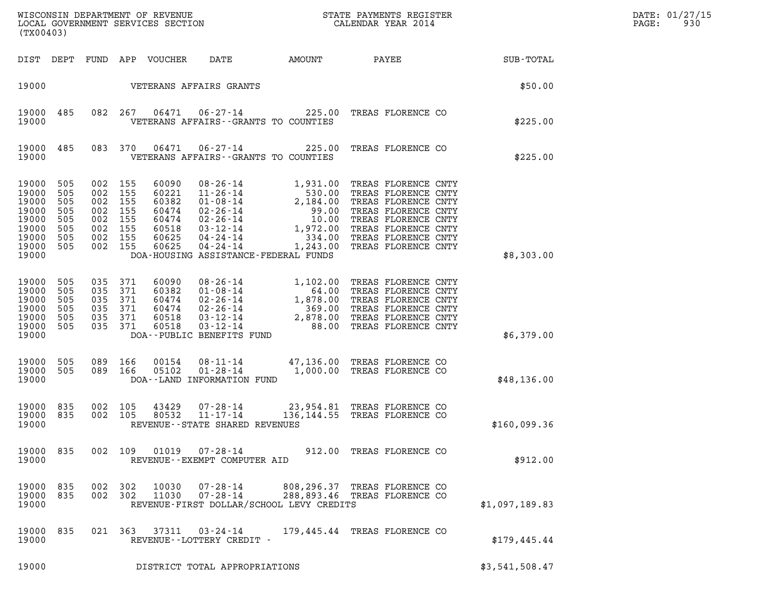| (TX00403)                                                                         |                                               |                                 |                                                                  |                                                                      |                                                              |                                          | ${\tt WISCOONSIM} \begin{tabular}{lcccc} DEPARTMENT OF REVENUE & & & & & & & \begin{tabular}{l} \bf STATE \end{tabular} \end{tabular} \begin{tabular}{lcccc} \bf RTATE \end{tabular} \end{tabular} \begin{tabular}{lcccc} \bf RTATE \end{tabular} \end{tabular} \begin{tabular}{lcccc} \bf RTATE \end{tabular} \end{tabular} \begin{tabular}{lcccc} \bf RTATE \end{tabular} \end{tabular} \begin{tabular}{lcccc} \bf RTATE \end{tabular} \end{tabular} \begin{tabular}{lcccc} \bf RTATE \end{tabular} \end{tabular} \begin{tabular}{lcccc$ |                | DATE: 01/27/15<br>PAGE:<br>930 |
|-----------------------------------------------------------------------------------|-----------------------------------------------|---------------------------------|------------------------------------------------------------------|----------------------------------------------------------------------|--------------------------------------------------------------|------------------------------------------|--------------------------------------------------------------------------------------------------------------------------------------------------------------------------------------------------------------------------------------------------------------------------------------------------------------------------------------------------------------------------------------------------------------------------------------------------------------------------------------------------------------------------------------------|----------------|--------------------------------|
| DIST DEPT                                                                         |                                               |                                 |                                                                  | FUND APP VOUCHER                                                     | DATE                                                         | AMOUNT                                   | <b>PAYEE</b>                                                                                                                                                                                                                                                                                                                                                                                                                                                                                                                               | SUB-TOTAL      |                                |
| 19000                                                                             |                                               |                                 |                                                                  |                                                                      | VETERANS AFFAIRS GRANTS                                      |                                          |                                                                                                                                                                                                                                                                                                                                                                                                                                                                                                                                            | \$50.00        |                                |
| 19000<br>19000                                                                    | 485                                           |                                 | 082 267                                                          | 06471                                                                |                                                              | VETERANS AFFAIRS -- GRANTS TO COUNTIES   | 06-27-14 225.00 TREAS FLORENCE CO                                                                                                                                                                                                                                                                                                                                                                                                                                                                                                          | \$225.00       |                                |
| 19000<br>19000                                                                    | 485                                           |                                 | 083 370                                                          | 06471                                                                | $06 - 27 - 14$                                               | VETERANS AFFAIRS -- GRANTS TO COUNTIES   | 225.00 TREAS FLORENCE CO                                                                                                                                                                                                                                                                                                                                                                                                                                                                                                                   | \$225.00       |                                |
| 19000<br>19000<br>19000<br>19000<br>19000<br>19000<br>19000<br>19000 505<br>19000 | 505<br>505<br>505<br>505<br>505<br>505<br>505 | 002<br>002<br>002<br>002<br>002 | 002 155<br>155<br>155<br>155<br>155<br>002 155<br>155<br>002 155 | 60090<br>60221<br>60382<br>60474<br>60474<br>60518<br>60625<br>60625 | $04 - 24 - 14$                                               | DOA-HOUSING ASSISTANCE-FEDERAL FUNDS     | 08-26-14<br>1,931.00 TREAS FLORENCE CNTY<br>11-26-14<br>530.00 TREAS FLORENCE CNTY<br>01-08-14<br>2,184.00 TREAS FLORENCE CNTY<br>02-26-14<br>10.00 TREAS FLORENCE CNTY<br>03-12-14<br>1,972.00 TREAS FLORENCE CNTY<br>04-24-14<br>1,942.00 TREAS FL<br>1,243.00 TREAS FLORENCE CNTY                                                                                                                                                                                                                                                       | \$8,303.00     |                                |
| 19000<br>19000<br>19000<br>19000<br>19000<br>19000<br>19000                       | 505<br>505<br>505<br>505<br>505<br>505        | 035<br>035<br>035<br>035<br>035 | 371<br>371<br>371<br>371<br>371<br>035 371                       | 60090<br>60382<br>60474<br>60474<br>60518<br>60518                   | DOA--PUBLIC BENEFITS FUND                                    |                                          | 08-26-14<br>01-08-14<br>02-26-14<br>02-26-14<br>03-12-14<br>03-12-14<br>03-12-14<br>03-12-14<br>03-12-14<br>03-12-14<br>03-12-14<br>03-12-14<br>03-12-14<br>03-12-14<br>03-12-14<br>03-12-14<br>03-12-14<br>03-12-14<br>03-12-14<br>03-12-14<br>03-12-14<br>03-12-14<br>03                                                                                                                                                                                                                                                                 | \$6,379.00     |                                |
| 19000<br>19000 505<br>19000                                                       | 505                                           | 089                             | 166<br>089 166                                                   | 00154<br>05102                                                       | $01 - 28 - 14$<br>DOA--LAND INFORMATION FUND                 |                                          | 08-11-14 47,136.00 TREAS FLORENCE CO<br>1,000.00 TREAS FLORENCE CO                                                                                                                                                                                                                                                                                                                                                                                                                                                                         | \$48,136.00    |                                |
| 19000 835<br>19000 835<br>19000                                                   |                                               | 002                             | 002 105<br>105                                                   | 43429<br>80532                                                       | 07-28-14<br>$11 - 17 - 14$<br>REVENUE--STATE SHARED REVENUES |                                          | 23,954.81 TREAS FLORENCE CO<br>136,144.55 TREAS FLORENCE CO                                                                                                                                                                                                                                                                                                                                                                                                                                                                                | \$160,099.36   |                                |
| 19000 835<br>19000                                                                |                                               |                                 | 002 109                                                          | 01019                                                                | 07-28-14<br>REVENUE--EXEMPT COMPUTER AID                     |                                          | 912.00 TREAS FLORENCE CO                                                                                                                                                                                                                                                                                                                                                                                                                                                                                                                   | \$912.00       |                                |
| 19000<br>19000 835<br>19000                                                       | 835                                           | 002<br>002                      | 302<br>302                                                       | 10030<br>11030                                                       | $07 - 28 - 14$<br>$07 - 28 - 14$                             | REVENUE-FIRST DOLLAR/SCHOOL LEVY CREDITS | 808,296.37 TREAS FLORENCE CO<br>288,893.46 TREAS FLORENCE CO                                                                                                                                                                                                                                                                                                                                                                                                                                                                               | \$1,097,189.83 |                                |
| 19000<br>19000                                                                    | 835                                           |                                 | 021 363                                                          | 37311                                                                | $03 - 24 - 14$<br>REVENUE--LOTTERY CREDIT -                  |                                          | 179,445.44 TREAS FLORENCE CO                                                                                                                                                                                                                                                                                                                                                                                                                                                                                                               | \$179,445.44   |                                |
| 19000                                                                             |                                               |                                 |                                                                  |                                                                      | DISTRICT TOTAL APPROPRIATIONS                                |                                          |                                                                                                                                                                                                                                                                                                                                                                                                                                                                                                                                            | \$3,541,508.47 |                                |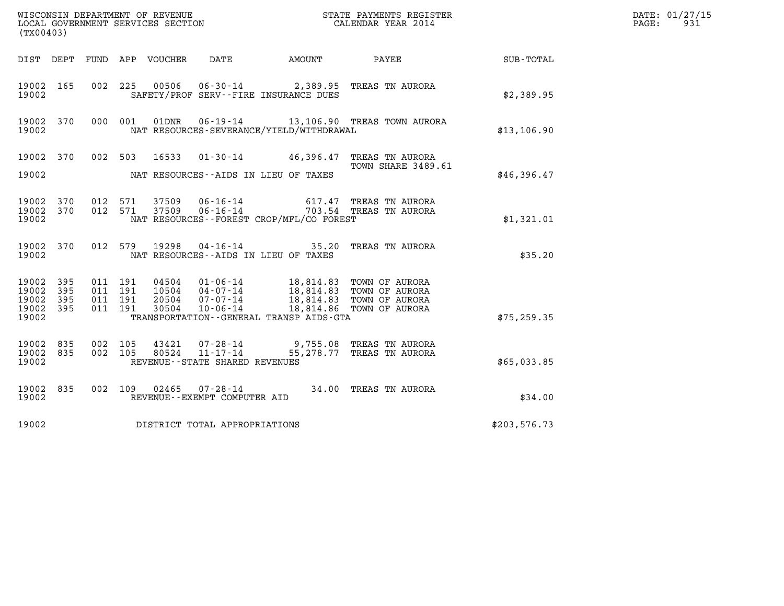| (TX00403)                                     |                   |                                      |                            | WISCONSIN DEPARTMENT OF REVENUE<br>LOCAL GOVERNMENT SERVICES SECTION |                                                                                                      | STATE PAYMENTS REGISTER<br>CALENDAR YEAR 2014        |              | DATE: 01/27/15<br>PAGE:<br>931 |
|-----------------------------------------------|-------------------|--------------------------------------|----------------------------|----------------------------------------------------------------------|------------------------------------------------------------------------------------------------------|------------------------------------------------------|--------------|--------------------------------|
|                                               |                   |                                      | DIST DEPT FUND APP VOUCHER | DATE                                                                 | AMOUNT                                                                                               | PAYEE                                                | SUB-TOTAL    |                                |
| 19002 165<br>19002                            |                   |                                      |                            |                                                                      | 002 225 00506 06-30-14 2,389.95 TREAS TN AURORA<br>SAFETY/PROF SERV--FIRE INSURANCE DUES             |                                                      | \$2,389.95   |                                |
| 19002 370<br>19002                            |                   | 000 001                              |                            |                                                                      | NAT RESOURCES-SEVERANCE/YIELD/WITHDRAWAL                                                             | 01DNR  06-19-14  13,106.90 TREAS TOWN AURORA         | \$13,106.90  |                                |
| 19002 370<br>19002                            |                   | 002 503                              | 16533                      |                                                                      | $01 - 30 - 14$ 46,396.47<br>NAT RESOURCES--AIDS IN LIEU OF TAXES                                     | TREAS TN AURORA<br>TOWN SHARE 3489.61                | \$46,396.47  |                                |
| 19002 370<br>19002 370<br>19002               |                   | 012 571<br>012 571                   | 37509<br>37509             | 06-16-14<br>$06 - 16 - 14$                                           | NAT RESOURCES--FOREST CROP/MFL/CO FOREST                                                             | 617.47 TREAS TN AURORA<br>703.54 TREAS TN AURORA     | \$1,321.01   |                                |
| 19002 370<br>19002                            |                   | 012 579                              | 19298                      | 04 - 16 - 14                                                         | 35.20 TREAS TN AURORA<br>NAT RESOURCES -- AIDS IN LIEU OF TAXES                                      |                                                      | \$35.20      |                                |
| 19002<br>19002<br>19002<br>19002 395<br>19002 | 395<br>395<br>395 | 011 191<br>011 191<br>011<br>011 191 | 191<br>20504<br>30504      | 04504 01-06-14<br>10504 04-07-14<br>07-07-14<br>$10 - 06 - 14$       | 18,814.83 TOWN OF AURORA<br>18,814.83 TOWN OF AURORA<br>TRANSPORTATION - - GENERAL TRANSP AIDS - GTA | 18,814.83 TOWN OF AURORA<br>18,814.86 TOWN OF AURORA | \$75, 259.35 |                                |
| 19002 835<br>19002<br>19002                   | 835               | 002 105<br>002 105                   | 43421<br>80524             | 07-28-14<br>$11 - 17 - 14$<br>REVENUE--STATE SHARED REVENUES         | 9,755.08<br>55,278.77                                                                                | TREAS TN AURORA<br>TREAS TN AURORA                   | \$65,033.85  |                                |
| 19002 835<br>19002                            |                   |                                      | 02465<br>002 109           | 07-28-14<br>REVENUE--EXEMPT COMPUTER AID                             |                                                                                                      | 34.00 TREAS TN AURORA                                | \$34.00      |                                |
| 19002                                         |                   |                                      |                            | DISTRICT TOTAL APPROPRIATIONS                                        |                                                                                                      |                                                      | \$203,576.73 |                                |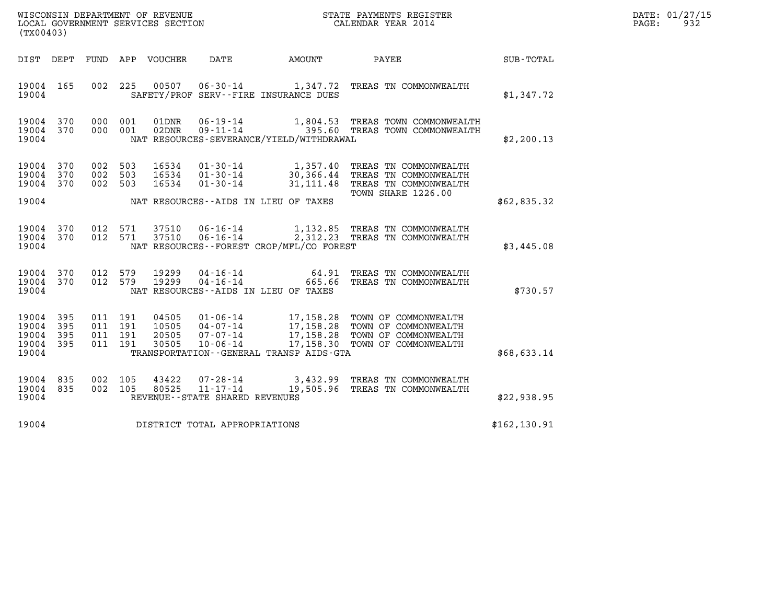| WISCONSIN DEPARTMENT OF REVENUE   | STATE PAYMENTS REGISTER | DATE: 01/27/15 |
|-----------------------------------|-------------------------|----------------|
| LOCAL GOVERNMENT SERVICES SECTION | CALENDAR YEAR 2014      | 932<br>PAGE:   |

| (TX00403)                                             |           |                                          |                                 |                                   | WISCONSIN DEPARTMENT OF REVENUE<br>LOCAL GOVERNMENT SERVICES SECTION<br>CALENDAR YEAR 2014 |                                                                                                                                                                                                                                                           | DATE: 01/27/15<br>PAGE: 932 |  |
|-------------------------------------------------------|-----------|------------------------------------------|---------------------------------|-----------------------------------|--------------------------------------------------------------------------------------------|-----------------------------------------------------------------------------------------------------------------------------------------------------------------------------------------------------------------------------------------------------------|-----------------------------|--|
|                                                       |           |                                          | DIST DEPT FUND APP VOUCHER DATE |                                   |                                                                                            | AMOUNT PAYEE SUB-TOTAL                                                                                                                                                                                                                                    |                             |  |
| 19004                                                 | 19004 165 | 002 225                                  |                                 |                                   | SAFETY/PROF SERV--FIRE INSURANCE DUES                                                      | 00507  06-30-14   1,347.72  TREAS TN COMMONWEALTH                                                                                                                                                                                                         | \$1,347.72                  |  |
| 19004                                                 |           |                                          | 19004 370 000 001 01DNR         |                                   | NAT RESOURCES-SEVERANCE/YIELD/WITHDRAWAL                                                   | 06-19-14 1,804.53 TREAS TOWN COMMONWEALTH<br>19004 370 000 001 02DNR 09-11-14 395.60 TREAS TOWN COMMONWEALTH                                                                                                                                              | \$2,200.13                  |  |
|                                                       |           |                                          |                                 |                                   |                                                                                            | 19004 370 002 503 16534 01-30-14 1,357.40 TREAS TN COMMONWEALTH<br>19004 370 002 503 16534 01-30-14 30,366.44 TREAS TN COMMONWEALTH<br>19004 370 002 503 16534 01-30-14 31,111.48 TREAS TN COMMONWEALTH<br>TOWN SHARE 1226.00                             |                             |  |
| 19004                                                 |           |                                          |                                 |                                   | NAT RESOURCES--AIDS IN LIEU OF TAXES                                                       |                                                                                                                                                                                                                                                           | \$62,835.32                 |  |
| 19004                                                 |           | 19004 370 012 571<br>19004 370 012 571   |                                 |                                   | NAT RESOURCES - - FOREST CROP/MFL/CO FOREST                                                | 37510  06-16-14   1,132.85   TREAS TN COMMONWEALTH<br>37510  06-16-14   2,312.23   TREAS TN COMMONWEALTH                                                                                                                                                  | \$3,445.08                  |  |
| 19004                                                 |           |                                          |                                 |                                   | NAT RESOURCES--AIDS IN LIEU OF TAXES                                                       | $\begin{array}{cccccc} 19004 & 370 & 012 & 579 & 19299 & 04\cdot 16\cdot 14 & & & & & 64\cdot 91 & \text{TREAS TN COMMONWEALITH} \\ 19004 & 370 & 012 & 579 & 19299 & 04\cdot 16\cdot 14 & & & & 665\cdot 66 & \text{TREAS TN COMMONWEALITH} \end{array}$ | \$730.57                    |  |
| 19004 395<br>19004<br>19004 395<br>19004 395<br>19004 | 395       | 011 191<br>011 191<br>011 191<br>011 191 |                                 |                                   | TRANSPORTATION--GENERAL TRANSP AIDS-GTA                                                    | 04505  01-06-14  17,158.28  TOWN OF COMMONWEALTH<br>10505  04-07-14  17,158.28  TOWN OF COMMONWEALTH<br>20505  07-07-14  17,158.28  TOWN OF COMMONWEALTH<br>30505  10-06-14  17,158.30  TOWN OF COMMONWEALTH                                              | \$68,633.14                 |  |
| 19004                                                 | 19004 835 | 19004 835 002 105<br>002 105             |                                 | REVENUE - - STATE SHARED REVENUES |                                                                                            |                                                                                                                                                                                                                                                           | \$22,938.95                 |  |
| 19004                                                 |           |                                          |                                 | DISTRICT TOTAL APPROPRIATIONS     |                                                                                            |                                                                                                                                                                                                                                                           | \$162, 130.91               |  |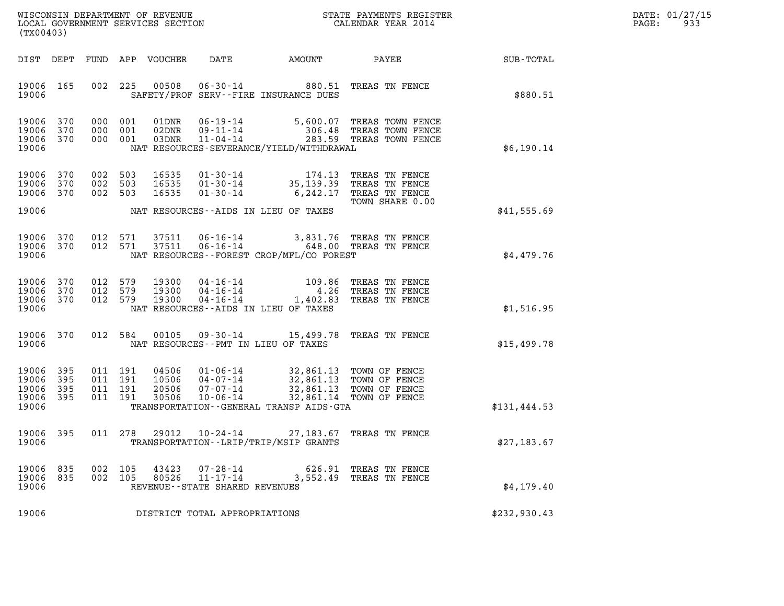| WISCONSIN DEPARTMENT OF REVENUE   | STATE PAYMENTS REGISTER | DATE: 01/27/15 |
|-----------------------------------|-------------------------|----------------|
| LOCAL GOVERNMENT SERVICES SECTION | CALENDAR YEAR 2014      | ०२२<br>PAGE:   |

| (TX00403)                                 |                          |                          |                          | WISCONSIN DEPARTMENT OF REVENUE<br>LOCAL GOVERNMENT SERVICES SECTION |                                                                       |                                                                                             | STATE PAYMENTS REGISTER<br>CALENDAR YEAR 2014                         |              |
|-------------------------------------------|--------------------------|--------------------------|--------------------------|----------------------------------------------------------------------|-----------------------------------------------------------------------|---------------------------------------------------------------------------------------------|-----------------------------------------------------------------------|--------------|
| DIST                                      | DEPT                     | <b>FUND</b>              | APP                      | <b>VOUCHER</b>                                                       | <b>DATE</b>                                                           | <b>AMOUNT</b>                                                                               | PAYEE                                                                 | SUB-TOTAL    |
| 19006<br>19006                            | 165                      | 002                      | 225                      | 00508                                                                | $06 - 30 - 14$                                                        | 880.51<br>SAFETY/PROF SERV--FIRE INSURANCE DUES                                             | TREAS TN FENCE                                                        | \$880.51     |
| 19006<br>19006<br>19006<br>19006          | 370<br>370<br>370        | 000<br>000<br>000        | 001<br>001<br>001        | 01DNR<br>02DNR<br>03DNR                                              | $06 - 19 - 14$<br>$09 - 11 - 14$<br>$11 - 04 - 14$                    | 5,600.07<br>306.48<br>283.59<br>NAT RESOURCES-SEVERANCE/YIELD/WITHDRAWAL                    | TREAS TOWN FENCE<br>TREAS TOWN FENCE<br>TREAS TOWN FENCE              | \$6,190.14   |
| 19006<br>19006<br>19006                   | 370<br>370<br>370        | 002<br>002<br>002        | 503<br>503<br>503        | 16535<br>16535<br>16535                                              | $01 - 30 - 14$<br>$01 - 30 - 14$<br>$01 - 30 - 14$                    | 174.13<br>35, 139.39<br>6,242.17                                                            | TREAS TN FENCE<br>TREAS TN FENCE<br>TREAS TN FENCE<br>TOWN SHARE 0.00 |              |
| 19006                                     |                          |                          |                          |                                                                      |                                                                       | NAT RESOURCES -- AIDS IN LIEU OF TAXES                                                      |                                                                       | \$41,555.69  |
| 19006<br>19006<br>19006                   | 370<br>370               | 012<br>012               | 571<br>571               | 37511<br>37511                                                       | $06 - 16 - 14$<br>$06 - 16 - 14$                                      | 3,831.76<br>648.00<br>NAT RESOURCES - - FOREST CROP/MFL/CO FOREST                           | TREAS TN FENCE<br>TREAS TN FENCE                                      | \$4,479.76   |
| 19006<br>19006<br>19006<br>19006          | 370<br>370<br>370        | 012<br>012<br>012        | 579<br>579<br>579        | 19300<br>19300<br>19300                                              | $04 - 16 - 14$<br>$04 - 16 - 14$<br>$04 - 16 - 14$                    | 109.86<br>4.26<br>1,402.83<br>NAT RESOURCES--AIDS IN LIEU OF TAXES                          | TREAS TN FENCE<br>TREAS TN FENCE<br>TREAS TN FENCE                    | \$1,516.95   |
| 19006<br>19006                            | 370                      | 012                      | 584                      | 00105                                                                | $09 - 30 - 14$                                                        | 15,499.78<br>NAT RESOURCES - PMT IN LIEU OF TAXES                                           | TREAS TN FENCE                                                        | \$15,499.78  |
| 19006<br>19006<br>19006<br>19006<br>19006 | 395<br>395<br>395<br>395 | 011<br>011<br>011<br>011 | 191<br>191<br>191<br>191 | 04506<br>10506<br>20506<br>30506                                     | $01 - 06 - 14$<br>$04 - 07 - 14$<br>$07 - 07 - 14$<br>$10 - 06 - 14$  | 32,861.13<br>32,861.13<br>32,861.13<br>32,861.14<br>TRANSPORTATION--GENERAL TRANSP AIDS-GTA | TOWN OF FENCE<br>TOWN OF FENCE<br>TOWN OF FENCE<br>TOWN OF FENCE      | \$131,444.53 |
| 19006<br>19006                            | 395                      | 011                      | 278                      | 29012                                                                | $10 - 24 - 14$                                                        | 27,183.67<br>TRANSPORTATION - - LRIP/TRIP/MSIP GRANTS                                       | TREAS TN FENCE                                                        | \$27,183.67  |
| 19006<br>19006<br>19006                   | 835<br>835               | 002<br>002               | 105<br>105               | 43423<br>80526                                                       | $07 - 28 - 14$<br>$11 - 17 - 14$<br>REVENUE - - STATE SHARED REVENUES | 626.91<br>3,552.49                                                                          | TREAS TN FENCE<br>TREAS TN FENCE                                      | \$4,179.40   |
| 19006                                     |                          |                          |                          |                                                                      | DISTRICT TOTAL APPROPRIATIONS                                         |                                                                                             |                                                                       | \$232,930.43 |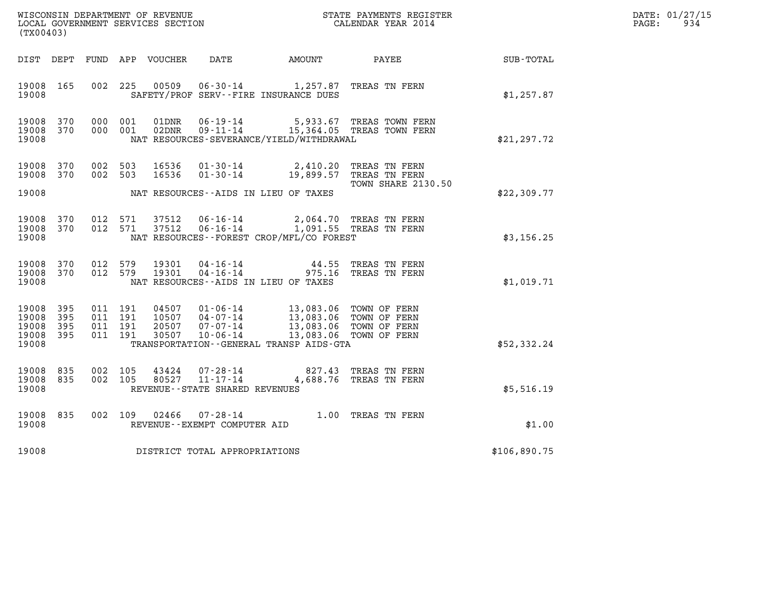| DATE: | 01/27/15 |
|-------|----------|
| PAGE: | 934      |

| WISCONSIN DEPARTMENT OF REVENUE<br>LOCAL GOVERNMENT SERVICES SECTION<br>(TX00403) |                   |                       |                       |                                  |                                                                      |                                                                   | STATE PAYMENTS REGISTER<br>CALENDAR YEAR 2014                                    |              | DATE: 01/27/15<br>PAGE:<br>934 |
|-----------------------------------------------------------------------------------|-------------------|-----------------------|-----------------------|----------------------------------|----------------------------------------------------------------------|-------------------------------------------------------------------|----------------------------------------------------------------------------------|--------------|--------------------------------|
| DIST DEPT                                                                         |                   |                       |                       | FUND APP VOUCHER                 | DATE                                                                 | AMOUNT                                                            | PAYEE                                                                            | SUB-TOTAL    |                                |
| 19008<br>19008                                                                    | 165               |                       | 002 225               | 00509                            |                                                                      | $06 - 30 - 14$ 1, 257.87<br>SAFETY/PROF SERV--FIRE INSURANCE DUES | TREAS TN FERN                                                                    | \$1,257.87   |                                |
| 19008<br>19008<br>19008                                                           | 370<br>370        |                       | 000 001<br>000 001    | 01DNR<br>02DNR                   | 06-19-14<br>$09 - 11 - 14$                                           | NAT RESOURCES-SEVERANCE/YIELD/WITHDRAWAL                          | 5,933.67 TREAS TOWN FERN<br>15,364.05 TREAS TOWN FERN                            | \$21, 297.72 |                                |
| 19008<br>19008                                                                    | 370<br>370        | 002 503               | 002 503               | 16536<br>16536                   | $01 - 30 - 14$<br>$01 - 30 - 14$                                     | 2,410.20<br>19,899.57                                             | TREAS TN FERN<br>TREAS TN FERN                                                   |              |                                |
| 19008                                                                             |                   |                       |                       |                                  |                                                                      | NAT RESOURCES -- AIDS IN LIEU OF TAXES                            | TOWN SHARE 2130.50                                                               | \$22,309.77  |                                |
| 19008<br>19008<br>19008                                                           | 370<br>370        |                       | 012 571<br>012 571    | 37512<br>37512                   | $06 - 16 - 14$<br>$06 - 16 - 14$                                     | NAT RESOURCES--FOREST CROP/MFL/CO FOREST                          | 2,064.70 TREAS TN FERN<br>1,091.55 TREAS TN FERN                                 | \$3,156.25   |                                |
| 19008<br>19008<br>19008                                                           | 370<br>370        | 012 579               | 012 579               | 19301<br>19301                   | 04-16-14<br>$04 - 16 - 14$                                           | 44.55<br>975.16<br>NAT RESOURCES--AIDS IN LIEU OF TAXES           | TREAS TN FERN<br>TREAS TN FERN                                                   | \$1,019.71   |                                |
| 19008<br>19008<br>19008<br>19008 395<br>19008                                     | 395<br>395<br>395 | 011 191<br>011<br>011 | 011 191<br>191<br>191 | 04507<br>10507<br>20507<br>30507 | $01 - 06 - 14$<br>$04 - 07 - 14$<br>$07 - 07 - 14$<br>$10 - 06 - 14$ | 13,083.06<br>13,083.06<br>TRANSPORTATION--GENERAL TRANSP AIDS-GTA | TOWN OF FERN<br>13,083.06 TOWN OF FERN<br>TOWN OF FERN<br>13,083.06 TOWN OF FERN | \$52,332.24  |                                |
| 19008<br>19008<br>19008                                                           | 835<br>835        | 002                   | 105<br>002 105        | 43424<br>80527                   | 07-28-14<br>$11 - 17 - 14$<br>REVENUE - - STATE SHARED REVENUES      | 827.43<br>4,688.76                                                | TREAS TN FERN<br>TREAS TN FERN                                                   | \$5,516.19   |                                |
| 19008<br>19008                                                                    | 835               |                       | 002 109               | 02466                            | $07 - 28 - 14$<br>REVENUE - - EXEMPT COMPUTER AID                    |                                                                   | 1.00 TREAS TN FERN                                                               | \$1.00       |                                |
| 19008                                                                             |                   |                       |                       |                                  | DISTRICT TOTAL APPROPRIATIONS                                        |                                                                   |                                                                                  | \$106,890.75 |                                |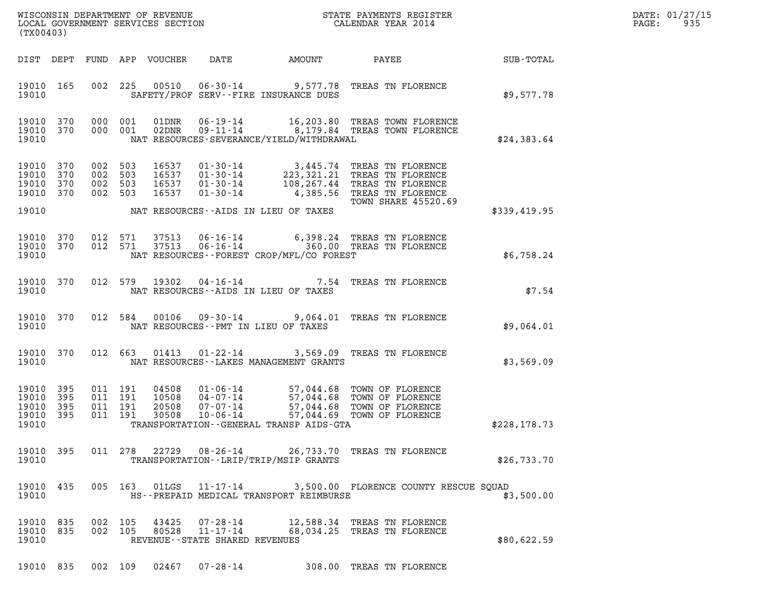| DATE: | 01/27/15 |
|-------|----------|
| PAGE: | 935      |

| (TX00403)                                     |                          |                               |                    |                                  |                                                              |                                                                                                                                                                                                                      |                             |              | DATE: 01/27/15<br>$\mathtt{PAGE}$ :<br>935 |
|-----------------------------------------------|--------------------------|-------------------------------|--------------------|----------------------------------|--------------------------------------------------------------|----------------------------------------------------------------------------------------------------------------------------------------------------------------------------------------------------------------------|-----------------------------|--------------|--------------------------------------------|
| DIST DEPT                                     |                          |                               |                    | FUND APP VOUCHER                 | DATE                                                         | AMOUNT PAYEE SUB-TOTAL                                                                                                                                                                                               |                             |              |                                            |
| 19010 165<br>19010                            |                          |                               |                    |                                  |                                                              | 002 225 00510 06-30-14 9,577.78 TREAS TN FLORENCE<br>SAFETY/PROF SERV--FIRE INSURANCE DUES                                                                                                                           |                             | \$9,577.78   |                                            |
| 19010 370<br>19010 370<br>19010               |                          |                               | 000 001<br>000 001 |                                  |                                                              | 01DNR  06-19-14   16,203.80 TREAS TOWN FLORENCE<br>02DNR  09-11-14   8,179.84 TREAS TOWN FLORENCE<br>NAT RESOURCES-SEVERANCE/YIELD/WITHDRAWAL                                                                        |                             | \$24,383.64  |                                            |
| 19010<br>19010<br>19010<br>19010 370<br>19010 | 370<br>370<br>370        | 002 503<br>002 503<br>002 503 | 002 503            | 16537<br>16537<br>16537<br>16537 | $01 - 30 - 14$                                               | 01-30-14 3,445.74 TREAS TN FLORENCE<br>01-30-14 223,321.21 TREAS TN FLORENCE<br>01-30-14 108,267.44 TREAS TN FLORENCE<br>4,385.56 TREAS TN FLORENCE<br>NAT RESOURCES--AIDS IN LIEU OF TAXES                          | <b>TOWN SHARE 45520.69</b>  | \$339,419.95 |                                            |
| 19010<br>19010 370<br>19010                   | 370                      |                               | 012 571<br>012 571 | 37513<br>37513                   |                                                              | 06-16-14 6,398.24 TREAS TN FLORENCE<br>06-16-14 360.00 TREAS TN FLORENCE<br>NAT RESOURCES--FOREST CROP/MFL/CO FOREST                                                                                                 |                             | \$6,758.24   |                                            |
| 19010 370<br>19010                            |                          |                               |                    |                                  |                                                              | 012 579 19302 04-16-14 7.54 TREAS TN FLORENCE<br>NAT RESOURCES--AIDS IN LIEU OF TAXES                                                                                                                                |                             | \$7.54       |                                            |
| 19010                                         | 19010 370                |                               |                    |                                  |                                                              | 012 584 00106 09-30-14 9,064.01 TREAS TN FLORENCE<br>NAT RESOURCES -- PMT IN LIEU OF TAXES                                                                                                                           |                             | \$9,064.01   |                                            |
| 19010                                         | 19010 370                |                               | 012 663            |                                  |                                                              | 01413  01-22-14  3,569.09  TREAS TN FLORENCE<br>NAT RESOURCES - - LAKES MANAGEMENT GRANTS                                                                                                                            |                             | \$3,569.09   |                                            |
| 19010<br>19010<br>19010<br>19010<br>19010     | 395<br>395<br>395<br>395 | 011 191<br>011 191<br>011 191 | 011 191            | 04508<br>10508<br>20508<br>30508 |                                                              | 01-06-14 57,044.68 TOWN OF FLORENCE<br>04-07-14<br>07-07-14 57,044.68 TOWN OF FLORENCE<br>07-07-14 57,044.68 TOWN OF FLORENCE<br>10-06-14 57,044.69 TOWN OF FLORENCE<br>TRANSPORTATION - - GENERAL TRANSP AIDS - GTA |                             | \$228,178.73 |                                            |
| 19010 395<br>19010                            |                          |                               |                    |                                  |                                                              | 011 278 22729 08-26-14 26,733.70 TREAS TN FLORENCE<br>TRANSPORTATION - - LRIP/TRIP/MSIP GRANTS                                                                                                                       |                             | \$26,733.70  |                                            |
| 19010<br>19010                                | 435                      |                               |                    |                                  |                                                              | 005 163 01LGS 11-17-14 3,500.00 FLORENCE COUNTY RESCUE SQUAD<br>HS--PREPAID MEDICAL TRANSPORT REIMBURSE                                                                                                              |                             | \$3,500.00   |                                            |
| 19010 835<br>19010 835<br>19010               |                          |                               | 002 105<br>002 105 | 43425<br>80528                   | 07-28-14<br>$11 - 17 - 14$<br>REVENUE--STATE SHARED REVENUES | 12,588.34 TREAS TN FLORENCE                                                                                                                                                                                          | 68,034.25 TREAS TN FLORENCE | \$80,622.59  |                                            |

19010 835 002 109 02467 07-28-14 308.00 TREAS TN FLORENCE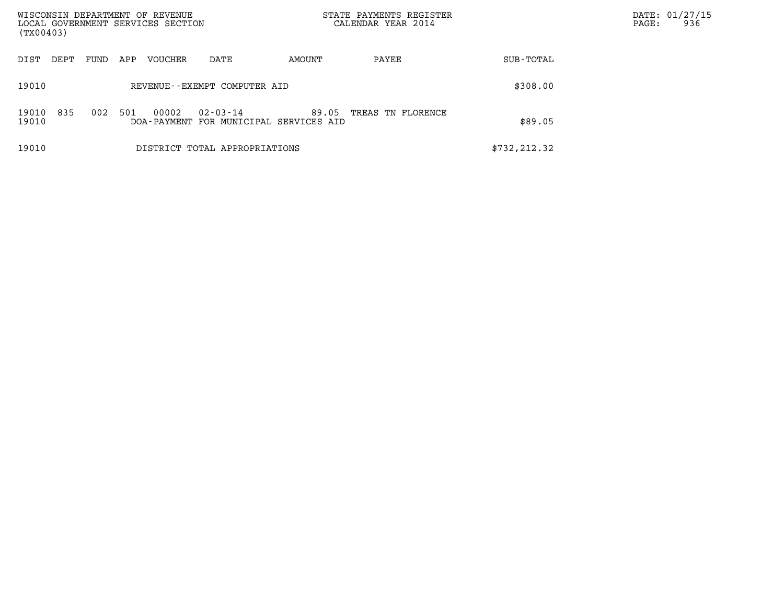| WISCONSIN DEPARTMENT OF REVENUE<br>LOCAL GOVERNMENT SERVICES SECTION<br>(TX00403) |      |     |         |                               |                                                 | STATE PAYMENTS REGISTER<br>CALENDAR YEAR 2014 |               | DATE: 01/27/15<br>936<br>PAGE: |  |
|-----------------------------------------------------------------------------------|------|-----|---------|-------------------------------|-------------------------------------------------|-----------------------------------------------|---------------|--------------------------------|--|
|                                                                                   |      |     |         |                               |                                                 |                                               |               |                                |  |
| DIST<br>DEPT                                                                      | FUND | APP | VOUCHER | DATE                          | AMOUNT                                          | PAYEE                                         | SUB-TOTAL     |                                |  |
| 19010                                                                             |      |     |         | REVENUE--EXEMPT COMPUTER AID  | \$308.00                                        |                                               |               |                                |  |
| 835<br>19010<br>19010                                                             | 002  | 501 | 00002   | $02 - 03 - 14$                | 89.05<br>DOA-PAYMENT FOR MUNICIPAL SERVICES AID | TREAS TN FLORENCE                             | \$89.05       |                                |  |
| 19010                                                                             |      |     |         | DISTRICT TOTAL APPROPRIATIONS |                                                 |                                               | \$732, 212.32 |                                |  |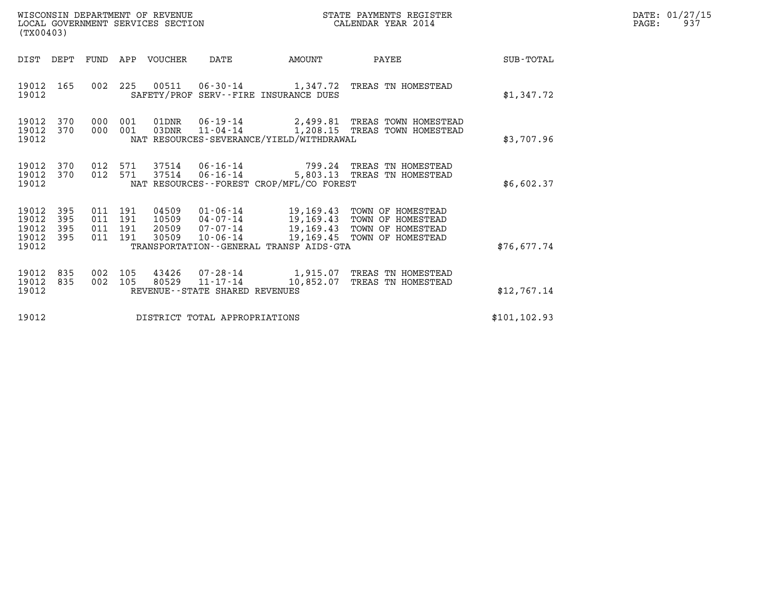| WISCONSIN DEPARTMENT OF REVENUE<br>LOCAL GOVERNMENT SERVICES SECTION | STATE PAYMENTS REGISTER<br>CALENDAR YEAR 2014 | DATE: 01/27/15<br>93'<br>PAGE: |
|----------------------------------------------------------------------|-----------------------------------------------|--------------------------------|

| WISCONSIN DEPARTMENT OF REVENUE<br>LOCAL GOVERNMENT SERVICES SECTION<br>(TX00403) |                          |  |                                          |                                  |                                   |                                                                                                                              | STATE PAYMENTS REGISTER<br>CALENDAR YEAR 2014                                                       |               | DATE: 01/27/15<br>PAGE:<br>937 |
|-----------------------------------------------------------------------------------|--------------------------|--|------------------------------------------|----------------------------------|-----------------------------------|------------------------------------------------------------------------------------------------------------------------------|-----------------------------------------------------------------------------------------------------|---------------|--------------------------------|
| DIST DEPT                                                                         |                          |  |                                          | FUND APP VOUCHER                 | DATE                              | <b>AMOUNT</b>                                                                                                                | PAYEE                                                                                               | SUB-TOTAL     |                                |
| 19012<br>19012                                                                    | 165                      |  |                                          |                                  |                                   | SAFETY/PROF SERV--FIRE INSURANCE DUES                                                                                        | 002 225 00511 06-30-14 1,347.72 TREAS TN HOMESTEAD                                                  | \$1,347.72    |                                |
| 19012<br>19012<br>19012                                                           | 370<br>370               |  | 000 001<br>000 001                       | 01DNR<br>03DNR                   |                                   | 06-19-14 2,499.81 TREAS TOWN HOMESTEAD<br>11-04-14 1,208.15 TREAS TOWN HOMESTEAD<br>NAT RESOURCES-SEVERANCE/YIELD/WITHDRAWAL | \$3,707.96                                                                                          |               |                                |
| 19012<br>19012<br>19012                                                           | 370<br>370               |  | 012 571                                  | 37514                            |                                   | NAT RESOURCES--FOREST CROP/MFL/CO FOREST                                                                                     | 012 571 37514 06-16-14 799.24 TREAS TN HOMESTEAD<br>06-16-14 5,803.13 TREAS TN HOMESTEAD            | \$6,602.37    |                                |
| 19012<br>19012<br>19012<br>19012<br>19012                                         | 395<br>395<br>395<br>395 |  | 011 191<br>011 191<br>011 191<br>011 191 | 04509<br>10509<br>20509<br>30509 |                                   | $01 - 06 - 14$ 19, 169.43<br>TRANSPORTATION--GENERAL TRANSP AIDS-GTA                                                         | TOWN OF HOMESTEAD<br>TOWN OF HOMESTEAD<br>TOWN OF HOMESTEAD<br>10-06-14 19,169.45 TOWN OF HOMESTEAD | \$76,677.74   |                                |
| 19012<br>19012<br>19012                                                           | 835<br>835               |  | 002 105<br>002 105                       | 43426<br>80529                   | REVENUE - - STATE SHARED REVENUES | 07-28-14 1,915.07<br>$11 - 17 - 14$ $10,852.07$                                                                              | TREAS TN HOMESTEAD<br>TREAS TN HOMESTEAD                                                            | \$12,767.14   |                                |
| 19012<br>DISTRICT TOTAL APPROPRIATIONS                                            |                          |  |                                          |                                  |                                   |                                                                                                                              |                                                                                                     | \$101, 102.93 |                                |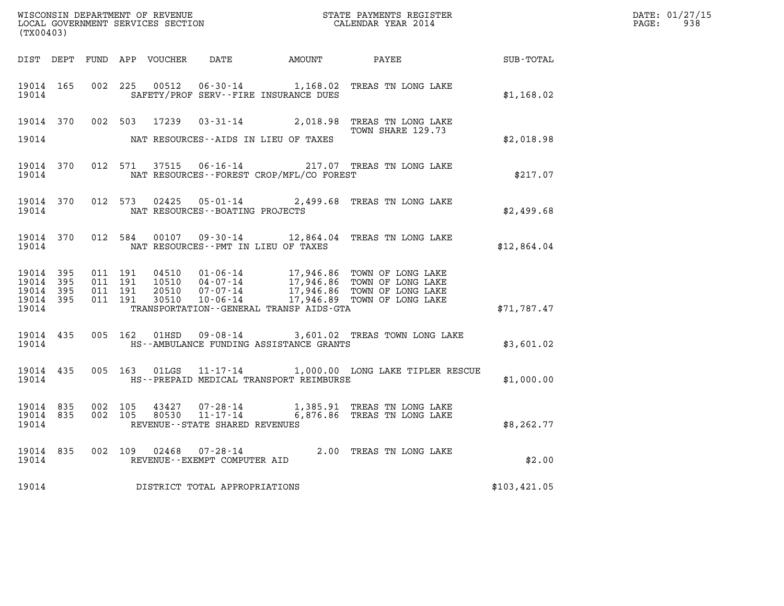| ${\tt WISCOONSIM} \begin{tabular}{lcccc} DEPARTMENT OF REVENUE & & & & & & & \begin{tabular}{l} \bf STATE} & \bf PAYMENTS \textit{ REGISTER} \\ \hline \textit{LOCAL GOVERNMENT} & \bf SERVICES \textit{SECTION} & & & & & \begin{tabular}{l} \bf CALENDAR \textit{ YEAR} \end{tabular} \end{tabular} \end{tabular}$<br>(TX00403) |           |         |                               |  |                                 |                                               |                                                                                                       |              | DATE: 01/27/15<br>$\mathtt{PAGE:}$<br>938 |
|-----------------------------------------------------------------------------------------------------------------------------------------------------------------------------------------------------------------------------------------------------------------------------------------------------------------------------------|-----------|---------|-------------------------------|--|---------------------------------|-----------------------------------------------|-------------------------------------------------------------------------------------------------------|--------------|-------------------------------------------|
|                                                                                                                                                                                                                                                                                                                                   |           |         |                               |  |                                 |                                               | DIST DEPT FUND APP VOUCHER DATE AMOUNT PAYEE TOTAL                                                    |              |                                           |
| 19014                                                                                                                                                                                                                                                                                                                             | 19014 165 |         |                               |  |                                 | SAFETY/PROF SERV--FIRE INSURANCE DUES         | 002 225 00512 06-30-14 1,168.02 TREAS TN LONG LAKE                                                    | \$1,168.02   |                                           |
|                                                                                                                                                                                                                                                                                                                                   |           |         |                               |  |                                 |                                               | 19014 370 002 503 17239 03-31-14 2,018.98 TREAS TN LONG LAKE<br>TOWN SHARE 129.73                     |              |                                           |
|                                                                                                                                                                                                                                                                                                                                   |           |         |                               |  |                                 | 19014 NAT RESOURCES--AIDS IN LIEU OF TAXES    |                                                                                                       | \$2,018.98   |                                           |
| 19014                                                                                                                                                                                                                                                                                                                             | 19014 370 |         |                               |  |                                 | NAT RESOURCES--FOREST CROP/MFL/CO FOREST      | 012 571 37515 06-16-14 217.07 TREAS TN LONG LAKE                                                      | \$217.07     |                                           |
| 19014                                                                                                                                                                                                                                                                                                                             | 19014 370 |         |                               |  | NAT RESOURCES--BOATING PROJECTS |                                               | 012 573 02425 05-01-14 2,499.68 TREAS TN LONG LAKE                                                    | \$2,499.68   |                                           |
|                                                                                                                                                                                                                                                                                                                                   |           |         |                               |  |                                 | 19014 NAT RESOURCES--PMT IN LIEU OF TAXES     | 19014 370 012 584 00107 09-30-14 12,864.04 TREAS TN LONG LAKE                                         | \$12,864.04  |                                           |
| 19014 395<br>19014 395<br>19014 395<br>19014 395<br>19014                                                                                                                                                                                                                                                                         |           | 011 191 | 011 191<br>011 191<br>011 191 |  |                                 | TRANSPORTATION--GENERAL TRANSP AIDS-GTA       |                                                                                                       | \$71,787.47  |                                           |
| 19014                                                                                                                                                                                                                                                                                                                             | 19014 435 |         |                               |  |                                 | HS--AMBULANCE FUNDING ASSISTANCE GRANTS       | 005 162 01HSD 09-08-14 3,601.02 TREAS TOWN LONG LAKE                                                  | \$3,601.02   |                                           |
|                                                                                                                                                                                                                                                                                                                                   | 19014 435 |         |                               |  |                                 | 19014 HS--PREPAID MEDICAL TRANSPORT REIMBURSE | 005 163 01LGS 11-17-14 1,000.00 LONG LAKE TIPLER RESCUE                                               | \$1,000.00   |                                           |
| 19014 835<br>19014 835<br>19014                                                                                                                                                                                                                                                                                                   |           |         |                               |  | REVENUE--STATE SHARED REVENUES  |                                               | 002 105 43427 07-28-14 1,385.91 TREAS TN LONG LAKE 002 105 80530 11-17-14 6,876.86 TREAS TN LONG LAKE | \$8,262.77   |                                           |
| 19014                                                                                                                                                                                                                                                                                                                             | 19014 835 |         |                               |  | REVENUE--EXEMPT COMPUTER AID    |                                               | 002 109 02468 07-28-14 2.00 TREAS TN LONG LAKE                                                        | \$2.00       |                                           |
| 19014                                                                                                                                                                                                                                                                                                                             |           |         |                               |  | DISTRICT TOTAL APPROPRIATIONS   |                                               |                                                                                                       | \$103,421.05 |                                           |